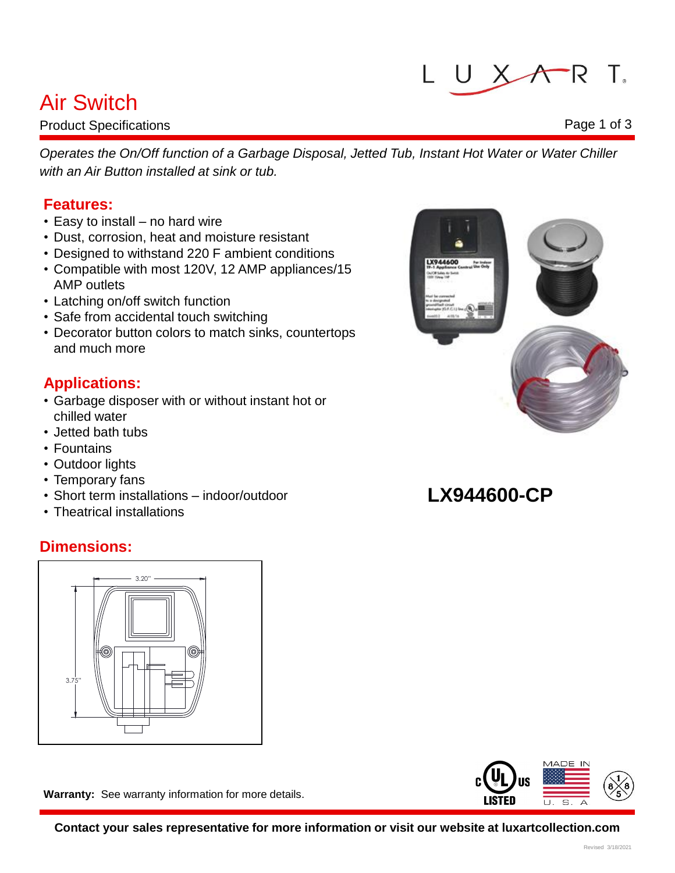# LUXART.

## Air Switch

Product Specifications

*Operates the On/Off function of a Garbage Disposal, Jetted Tub, Instant Hot Water or Water Chiller with an Air Button installed at sink or tub.*

## **Features:**

- Easy to install no hard wire
- Dust, corrosion, heat and moisture resistant
- Designed to withstand 220 F ambient conditions
- Compatible with most 120V, 12 AMP appliances/15 AMP outlets
- Latching on/off switch function
- Safe from accidental touch switching
- Decorator button colors to match sinks, countertops and much more

## **Applications:**

- Garbage disposer with or without instant hot or chilled water
- Jetted bath tubs
- Fountains
- Outdoor lights
- Temporary fans
- Short term installations indoor/outdoor
- Theatrical installations

## **Dimensions:**



**Warranty:** See warranty information for more details.

**Contact your sales representative for more information or visit our website at luxartcollection.com**



## **LX944600-CP**





### Page 1 of 3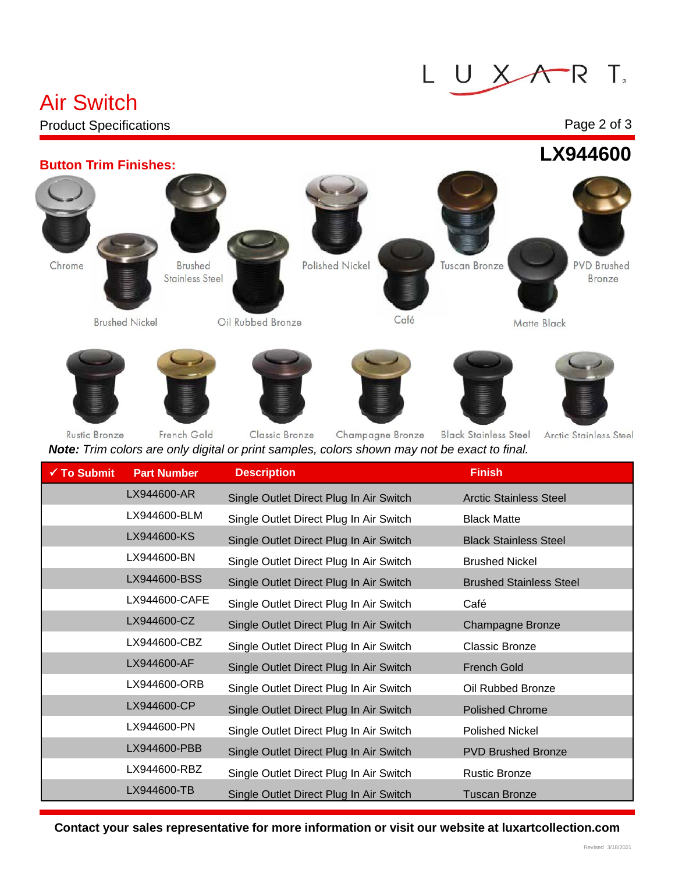#### $R$  T. L UX  $\sqrt{}$

## Air Switch

### Product Specifications

### Page 2 of 3





| Arctic Stainless Steel |  |  |  |
|------------------------|--|--|--|
|------------------------|--|--|--|

| $\checkmark$ To Submit | <b>Part Number</b> | <b>Description</b>                                                                                                                                                                                                                | <b>Finish</b>                                                            |
|------------------------|--------------------|-----------------------------------------------------------------------------------------------------------------------------------------------------------------------------------------------------------------------------------|--------------------------------------------------------------------------|
|                        | LX944600-AR        | Single Outlet Direct Plug In Air Switch                                                                                                                                                                                           | <b>Arctic Stainless Steel</b>                                            |
|                        | LX944600-BLM       | Single Outlet Direct Plug In Air Switch                                                                                                                                                                                           | <b>Black Matte</b>                                                       |
|                        | LX944600-KS        | Single Outlet Direct Plug In Air Switch                                                                                                                                                                                           | <b>Black Stainless Steel</b>                                             |
|                        | LX944600-BN        | Single Outlet Direct Plug In Air Switch                                                                                                                                                                                           | <b>Brushed Nickel</b>                                                    |
|                        | LX944600-BSS       | Single Outlet Direct Plug In Air Switch                                                                                                                                                                                           | <b>Brushed Stainless Steel</b>                                           |
|                        | LX944600-CAFE      | Single Outlet Direct Plug In Air Switch                                                                                                                                                                                           | Café                                                                     |
|                        | LX944600-CZ        | Single Outlet Direct Plug In Air Switch                                                                                                                                                                                           | <b>Champagne Bronze</b>                                                  |
|                        | LX944600-CBZ       | Single Outlet Direct Plug In Air Switch                                                                                                                                                                                           | <b>Classic Bronze</b>                                                    |
|                        | LX944600-AF        | Single Outlet Direct Plug In Air Switch                                                                                                                                                                                           | <b>French Gold</b>                                                       |
|                        | LX944600-ORB       | Single Outlet Direct Plug In Air Switch                                                                                                                                                                                           | Oil Rubbed Bronze                                                        |
|                        | LX944600-CP        | Single Outlet Direct Plug In Air Switch                                                                                                                                                                                           | <b>Polished Chrome</b>                                                   |
|                        | LX944600-PN        | Single Outlet Direct Plug In Air Switch                                                                                                                                                                                           | <b>Polished Nickel</b>                                                   |
|                        | LX944600-PBB       | Single Outlet Direct Plug In Air Switch                                                                                                                                                                                           | <b>PVD Brushed Bronze</b>                                                |
|                        | LX944600-RBZ       | Single Outlet Direct Plug In Air Switch                                                                                                                                                                                           | <b>Rustic Bronze</b>                                                     |
|                        | LX944600-TB        | Single Outlet Direct Plug In Air Switch                                                                                                                                                                                           | <b>Tuscan Bronze</b>                                                     |
|                        |                    | $\mathbf{r}$ , and the contract of the contract of the contract of the contract of the contract of the contract of the contract of the contract of the contract of the contract of the contract of the contract of the contract o | $\mathbf{r}$ and $\mathbf{r}$ are a set of $\mathbf{r}$ and $\mathbf{r}$ |

**Contact your sales representative for more information or visit our website at luxartcollection.com**